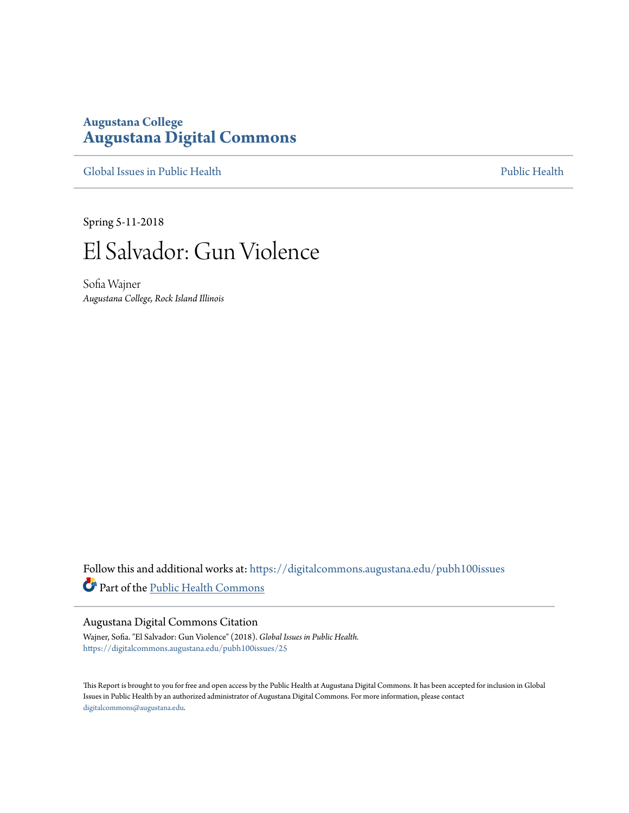# **Augustana College [Augustana Digital Commons](https://digitalcommons.augustana.edu?utm_source=digitalcommons.augustana.edu%2Fpubh100issues%2F25&utm_medium=PDF&utm_campaign=PDFCoverPages)**

[Global Issues in Public Health](https://digitalcommons.augustana.edu/pubh100issues?utm_source=digitalcommons.augustana.edu%2Fpubh100issues%2F25&utm_medium=PDF&utm_campaign=PDFCoverPages) [Public Health](https://digitalcommons.augustana.edu/publichealth?utm_source=digitalcommons.augustana.edu%2Fpubh100issues%2F25&utm_medium=PDF&utm_campaign=PDFCoverPages) Public Health Public Health Public Health

Spring 5-11-2018



Sofia Wajner *Augustana College, Rock Island Illinois*

Follow this and additional works at: [https://digitalcommons.augustana.edu/pubh100issues](https://digitalcommons.augustana.edu/pubh100issues?utm_source=digitalcommons.augustana.edu%2Fpubh100issues%2F25&utm_medium=PDF&utm_campaign=PDFCoverPages) Part of the [Public Health Commons](http://network.bepress.com/hgg/discipline/738?utm_source=digitalcommons.augustana.edu%2Fpubh100issues%2F25&utm_medium=PDF&utm_campaign=PDFCoverPages)

#### Augustana Digital Commons Citation

Wajner, Sofia. "El Salvador: Gun Violence" (2018). *Global Issues in Public Health.* [https://digitalcommons.augustana.edu/pubh100issues/25](https://digitalcommons.augustana.edu/pubh100issues/25?utm_source=digitalcommons.augustana.edu%2Fpubh100issues%2F25&utm_medium=PDF&utm_campaign=PDFCoverPages)

This Report is brought to you for free and open access by the Public Health at Augustana Digital Commons. It has been accepted for inclusion in Global Issues in Public Health by an authorized administrator of Augustana Digital Commons. For more information, please contact [digitalcommons@augustana.edu.](mailto:digitalcommons@augustana.edu)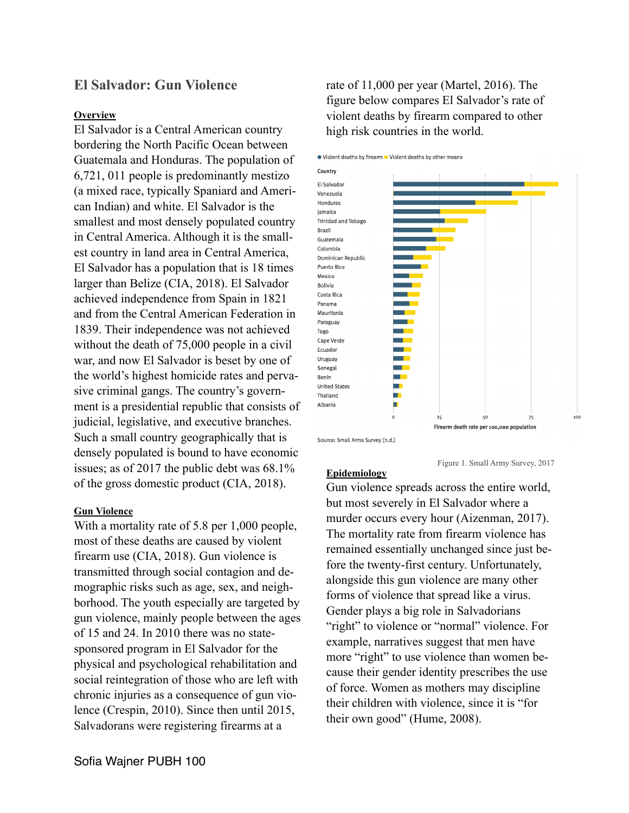# **El Salvador: Gun Violence**

### **Overview**

El Salvador is a Central American country bordering the North Pacific Ocean between Guatemala and Honduras. The population of 6,721, 011 people is predominantly mestizo (a mixed race, typically Spaniard and American Indian) and white. El Salvador is the smallest and most densely populated country in Central America. Although it is the smallest country in land area in Central America, El Salvador has a population that is 18 times larger than Belize (CIA, 2018). El Salvador achieved independence from Spain in 1821 and from the Central American Federation in 1839. Their independence was not achieved without the death of 75,000 people in a civil war, and now El Salvador is beset by one of the world's highest homicide rates and pervasive criminal gangs. The country's government is a presidential republic that consists of judicial, legislative, and executive branches. Such a small country geographically that is densely populated is bound to have economic issues; as of 2017 the public debt was 68.1% of the gross domestic product (CIA, 2018).

#### **Gun Violence**

With a mortality rate of 5.8 per 1,000 people, most of these deaths are caused by violent firearm use (CIA, 2018). Gun violence is transmitted through social contagion and demographic risks such as age, sex, and neighborhood. The youth especially are targeted by gun violence, mainly people between the ages of 15 and 24. In 2010 there was no statesponsored program in El Salvador for the physical and psychological rehabilitation and social reintegration of those who are left with chronic injuries as a consequence of gun violence (Crespin, 2010). Since then until 2015, Salvadorans were registering firearms at a

rate of 11,000 per year (Martel, 2016). The figure below compares El Salvador's rate of violent deaths by firearm compared to other high risk countries in the world.

• Violent deaths by firearm • Violent deaths by other means



#### **Epidemiology**

Gun violence spreads across the entire world, but most severely in El Salvador where a murder occurs every hour (Aizenman, 2017). The mortality rate from firearm violence has remained essentially unchanged since just before the twenty-first century. Unfortunately, alongside this gun violence are many other forms of violence that spread like a virus. Gender plays a big role in Salvadorians "right" to violence or "normal" violence. For example, narratives suggest that men have more "right" to use violence than women because their gender identity prescribes the use of force. Women as mothers may discipline their children with violence, since it is "for their own good" (Hume, 2008).

Figure 1. Small Army Survey, 2017